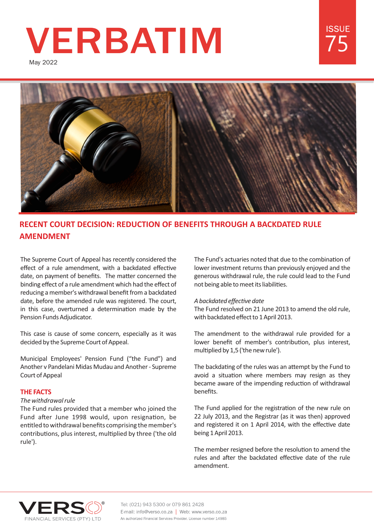# **VERBATIM**

May 2022



# **RECENT COURT DECISION: REDUCTION OF BENEFITS THROUGH A BACKDATED RULE AMENDMENT**

The Supreme Court of Appeal has recently considered the effect of a rule amendment, with a backdated effective date, on payment of benefits. The matter concerned the binding effect of a rule amendment which had the effect of reducing a member's withdrawal benefit from a backdated date, before the amended rule was registered. The court, in this case, overturned a determination made by the Pension Funds Adjudicator.

This case is cause of some concern, especially as it was decided by the Supreme Court of Appeal.

Municipal Employees' Pension Fund ("the Fund") and Another v Pandelani Midas Mudau and Another - Supreme Court of Appeal

# **THE FACTS**

# *The withdrawal rule*

The Fund rules provided that a member who joined the Fund after June 1998 would, upon resignation, be entitled to withdrawal benefits comprising the member's contributions, plus interest, multiplied by three ('the old rule').

The Fund's actuaries noted that due to the combination of lower investment returns than previously enjoyed and the generous withdrawal rule, the rule could lead to the Fund not being able to meet its liabilities.

75

**ISSUF** 

# A backdated effective date

The Fund resolved on 21 June 2013 to amend the old rule, with backdated effect to 1 April 2013.

The amendment to the withdrawal rule provided for a lower benefit of member's contribution, plus interest, multiplied by 1,5 ('the new rule').

The backdating of the rules was an attempt by the Fund to avoid a situation where members may resign as they became aware of the impending reduction of withdrawal benefits.

The Fund applied for the registration of the new rule on 22 July 2013, and the Registrar (as it was then) approved and registered it on 1 April 2014, with the effective date being 1 April 2013.

The member resigned before the resolution to amend the rules and after the backdated effective date of the rule amendment.



Tel: (021) 943 5300 or 079 861 2428 E-mail: info@verso.co.za | Web: www.verso.co.za An authorized Financial Services Provider. License number 14985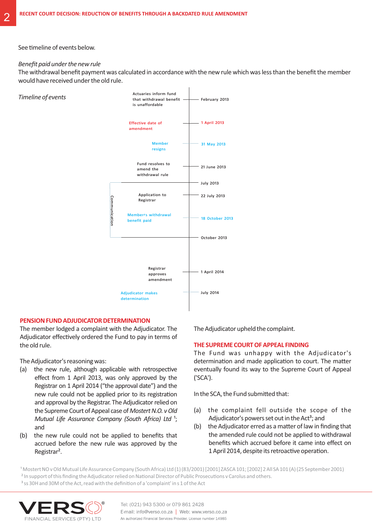#### See timeline of events below.

#### *Benefit paid under the new rule*

*Timeline of events*

The withdrawal benefit payment was calculated in accordance with the new rule which was less than the benefit the member would have received under the old rule.



# **PENSION FUND ADJUDICATOR DETERMINATION**

The member lodged a complaint with the Adjudicator. The Adjudicator effectively ordered the Fund to pay in terms of the old rule.

The Adjudicator's reasoning was:

- $(a)$  the new rule, although applicable with retrospective effect from 1 April 2013, was only approved by the Registrar on 1 April 2014 ("the approval date") and the new rule could not be applied prior to its registration and approval by the Registrar. The Adjudicator relied on the Supreme Court of Appeal case of *Mostert N.O. v Old Mutual Life Assurance Company (South Africa) Ltd*<sup>1</sup>; and
- (b) the new rule could not be applied to benefits that accrued before the new rule was approved by the Registrar².

The Adjudicator upheld the complaint.

#### **THE SUPREME COURT OF APPEAL FINDING**

The Fund was unhappy with the Adjudicator's determination and made application to court. The matter eventually found its way to the Supreme Court of Appeal ('SCA').

In the SCA, the Fund submitted that:

- (a) the complaint fell outside the scope of the Adjudicator's powers set out in the Act<sup>3</sup>; and
- (b) the Adjudicator erred as a matter of law in finding that the amended rule could not be applied to withdrawal benefits which accrued before it came into effect on 1 April 2014, despite its retroactive operation.

<sup>1</sup> Mostert NO v Old Mutual Life Assurance Company (South Africa) Ltd (1) (83/2001) [2001] ZASCA 101; [2002] 2 All SA 101 (A) (25 September 2001) <sup>2</sup> In support of this finding the Adjudicator relied on National Director of Public Prosecutions v Carolus and others. <sup>3</sup> ss 30H and 30M of the Act, read with the definition of a 'complaint' in s 1 of the Act